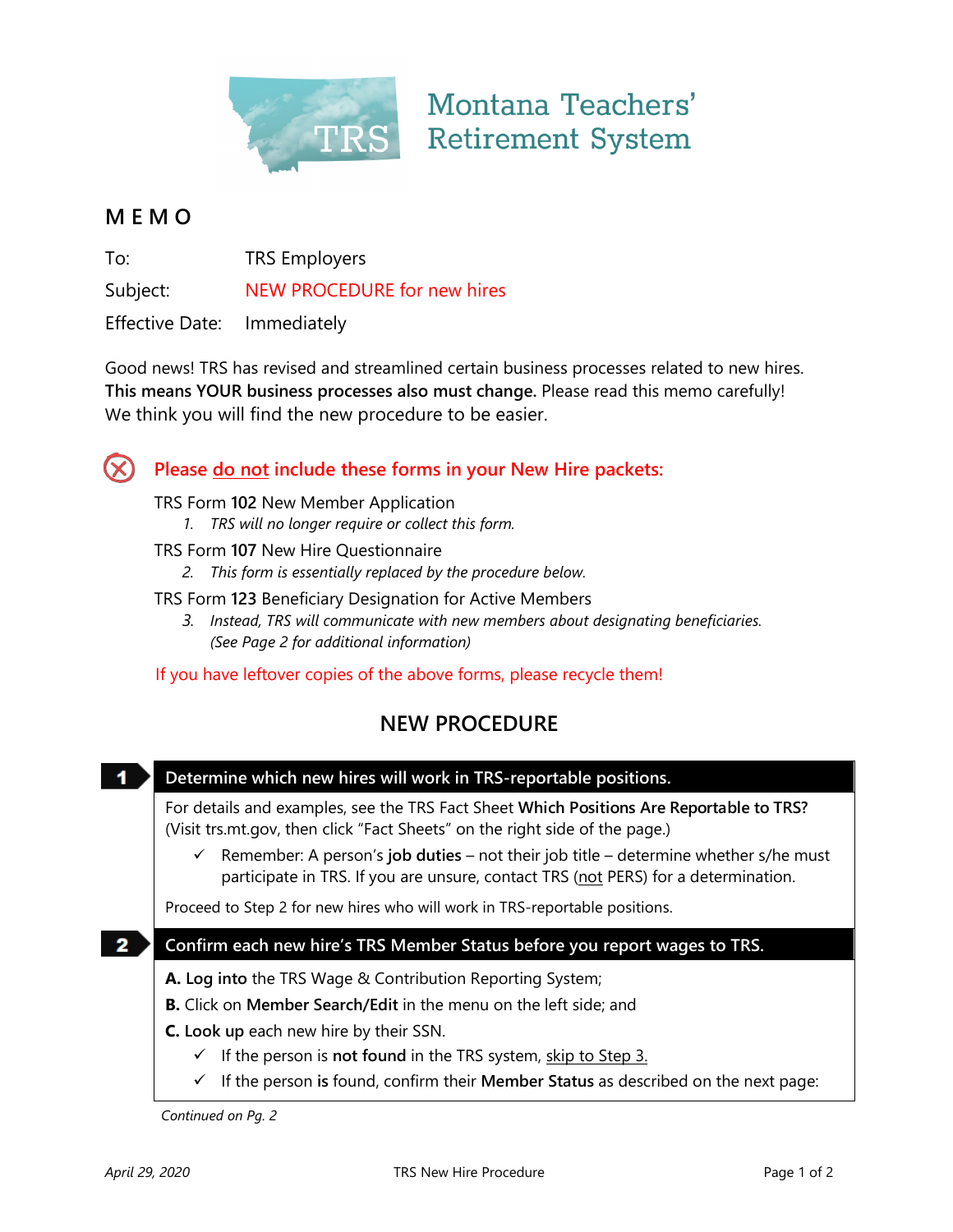

# Montana Teachers' **Retirement System**

### **M E M O**

To: TRS Employers

Subject: NEW PROCEDURE for new hires

Effective Date: Immediately

Good news! TRS has revised and streamlined certain business processes related to new hires. **This means YOUR business processes also must change.** Please read this memo carefully! We think you will find the new procedure to be easier.



## **Please do not include these forms in your New Hire packets:**

TRS Form **102** New Member Application

*1. TRS will no longer require or collect this form.*

#### TRS Form **107** New Hire Questionnaire

- *2. This form is essentially replaced by the procedure below.*
- TRS Form **123** Beneficiary Designation for Active Members
	- *3. Instead, TRS will communicate with new members about designating beneficiaries. (See Page 2 for additional information)*

### If you have leftover copies of the above forms, please recycle them!

## **NEW PROCEDURE**

 $\blacktriangleleft$ **Determine which new hires will work in TRS-reportable positions.**

For details and examples, see the TRS Fact Sheet **Which Positions Are Reportable to TRS?** (Visit trs.mt.gov, then click "Fact Sheets" on the right side of the page.)

 $\checkmark$  Remember: A person's **job duties** – not their job title – determine whether s/he must participate in TRS. If you are unsure, contact TRS (not PERS) for a determination.

Proceed to Step 2 for new hires who will work in TRS-reportable positions.

#### **2 Confirm each new hire's TRS Member Status before you report wages to TRS.**

**A. Log into** the TRS Wage & Contribution Reporting System;

**B.** Click on **Member Search/Edit** in the menu on the left side; and

**C. Look up** each new hire by their SSN.

- $\checkmark$  If the person is **not found** in the TRS system, skip to Step 3.
- If the person **is** found, confirm their **Member Status** as described on the next page:

*Continued on Pg. 2*